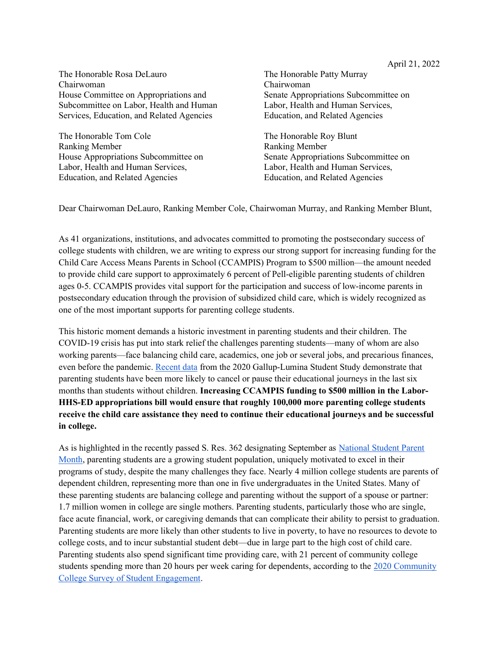The Honorable Rosa DeLauro Chairwoman House Committee on Appropriations and Subcommittee on Labor, Health and Human Services, Education, and Related Agencies

The Honorable Tom Cole Ranking Member House Appropriations Subcommittee on Labor, Health and Human Services, Education, and Related Agencies

The Honorable Patty Murray Chairwoman Senate Appropriations Subcommittee on Labor, Health and Human Services, Education, and Related Agencies

The Honorable Roy Blunt Ranking Member Senate Appropriations Subcommittee on Labor, Health and Human Services, Education, and Related Agencies

Dear Chairwoman DeLauro, Ranking Member Cole, Chairwoman Murray, and Ranking Member Blunt,

As 41 organizations, institutions, and advocates committed to promoting the postsecondary success of college students with children, we are writing to express our strong support for increasing funding for the Child Care Access Means Parents in School (CCAMPIS) Program to \$500 million—the amount needed to provide child care support to approximately 6 percent of Pell-eligible parenting students of children ages 0-5. CCAMPIS provides vital support for the participation and success of low-income parents in postsecondary education through the provision of subsidized child care, which is widely recognized as one of the most important supports for parenting college students.

This historic moment demands a historic investment in parenting students and their children. The COVID-19 crisis has put into stark relief the challenges parenting students—many of whom are also working parents—face balancing child care, academics, one job or several jobs, and precarious finances, even before the pandemic. Recent data from the 2020 Gallup-Lumina Student Study demonstrate that parenting students have been more likely to cancel or pause their educational journeys in the last six months than students without children. Increasing CCAMPIS funding to \$500 million in the Labor-HHS-ED appropriations bill would ensure that roughly 100,000 more parenting college students receive the child care assistance they need to continue their educational journeys and be successful in college.

As is highlighted in the recently passed S. Res. 362 designating September as National Student Parent Month, parenting students are a growing student population, uniquely motivated to excel in their programs of study, despite the many challenges they face. Nearly 4 million college students are parents of dependent children, representing more than one in five undergraduates in the United States. Many of these parenting students are balancing college and parenting without the support of a spouse or partner: 1.7 million women in college are single mothers. Parenting students, particularly those who are single, face acute financial, work, or caregiving demands that can complicate their ability to persist to graduation. Parenting students are more likely than other students to live in poverty, to have no resources to devote to college costs, and to incur substantial student debt—due in large part to the high cost of child care. Parenting students also spend significant time providing care, with 21 percent of community college students spending more than 20 hours per week caring for dependents, according to the 2020 Community College Survey of Student Engagement.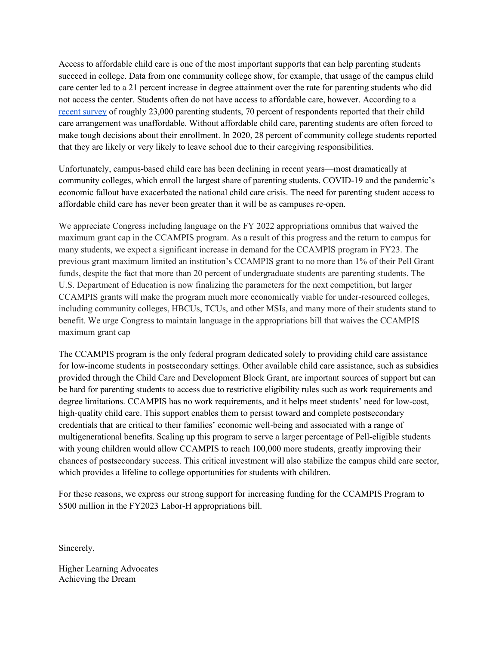Access to affordable child care is one of the most important supports that can help parenting students succeed in college. Data from one community college show, for example, that usage of the campus child care center led to a 21 percent increase in degree attainment over the rate for parenting students who did not access the center. Students often do not have access to affordable care, however. According to a recent survey of roughly 23,000 parenting students, 70 percent of respondents reported that their child care arrangement was unaffordable. Without affordable child care, parenting students are often forced to make tough decisions about their enrollment. In 2020, 28 percent of community college students reported that they are likely or very likely to leave school due to their caregiving responsibilities.

Unfortunately, campus-based child care has been declining in recent years—most dramatically at community colleges, which enroll the largest share of parenting students. COVID-19 and the pandemic's economic fallout have exacerbated the national child care crisis. The need for parenting student access to affordable child care has never been greater than it will be as campuses re-open.

We appreciate Congress including language on the FY 2022 appropriations omnibus that waived the maximum grant cap in the CCAMPIS program. As a result of this progress and the return to campus for many students, we expect a significant increase in demand for the CCAMPIS program in FY23. The previous grant maximum limited an institution's CCAMPIS grant to no more than 1% of their Pell Grant funds, despite the fact that more than 20 percent of undergraduate students are parenting students. The U.S. Department of Education is now finalizing the parameters for the next competition, but larger CCAMPIS grants will make the program much more economically viable for under-resourced colleges, including community colleges, HBCUs, TCUs, and other MSIs, and many more of their students stand to benefit. We urge Congress to maintain language in the appropriations bill that waives the CCAMPIS maximum grant cap

The CCAMPIS program is the only federal program dedicated solely to providing child care assistance for low-income students in postsecondary settings. Other available child care assistance, such as subsidies provided through the Child Care and Development Block Grant, are important sources of support but can be hard for parenting students to access due to restrictive eligibility rules such as work requirements and degree limitations. CCAMPIS has no work requirements, and it helps meet students' need for low-cost, high-quality child care. This support enables them to persist toward and complete postsecondary credentials that are critical to their families' economic well-being and associated with a range of multigenerational benefits. Scaling up this program to serve a larger percentage of Pell-eligible students with young children would allow CCAMPIS to reach 100,000 more students, greatly improving their chances of postsecondary success. This critical investment will also stabilize the campus child care sector, which provides a lifeline to college opportunities for students with children.

For these reasons, we express our strong support for increasing funding for the CCAMPIS Program to \$500 million in the FY2023 Labor-H appropriations bill.

Sincerely,

Higher Learning Advocates Achieving the Dream